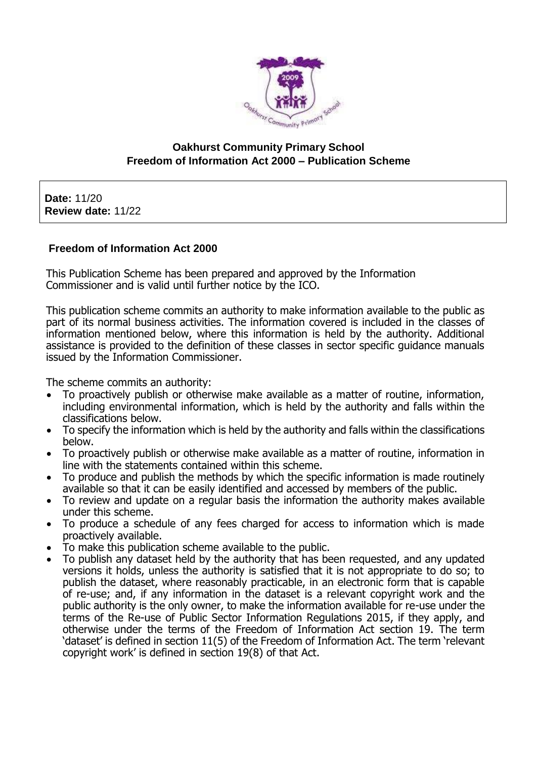

## **Oakhurst Community Primary School Freedom of Information Act 2000 – Publication Scheme**

**Date:** 11/20 **Review date:** 11/22

### **Freedom of Information Act 2000**

This Publication Scheme has been prepared and approved by the Information Commissioner and is valid until further notice by the ICO.

This publication scheme commits an authority to make information available to the public as part of its normal business activities. The information covered is included in the classes of information mentioned below, where this information is held by the authority. Additional assistance is provided to the definition of these classes in sector specific guidance manuals issued by the Information Commissioner.

The scheme commits an authority:

- To proactively publish or otherwise make available as a matter of routine, information, including environmental information, which is held by the authority and falls within the classifications below.
- To specify the information which is held by the authority and falls within the classifications below.
- To proactively publish or otherwise make available as a matter of routine, information in line with the statements contained within this scheme.
- To produce and publish the methods by which the specific information is made routinely available so that it can be easily identified and accessed by members of the public.
- To review and update on a regular basis the information the authority makes available under this scheme.
- To produce a schedule of any fees charged for access to information which is made proactively available.
- To make this publication scheme available to the public.
- To publish any dataset held by the authority that has been requested, and any updated versions it holds, unless the authority is satisfied that it is not appropriate to do so; to publish the dataset, where reasonably practicable, in an electronic form that is capable of re-use; and, if any information in the dataset is a relevant copyright work and the public authority is the only owner, to make the information available for re-use under the terms of the Re-use of Public Sector Information Regulations 2015, if they apply, and otherwise under the terms of the Freedom of Information Act section 19. The term 'dataset' is defined in section 11(5) of the Freedom of Information Act. The term 'relevant copyright work' is defined in section 19(8) of that Act.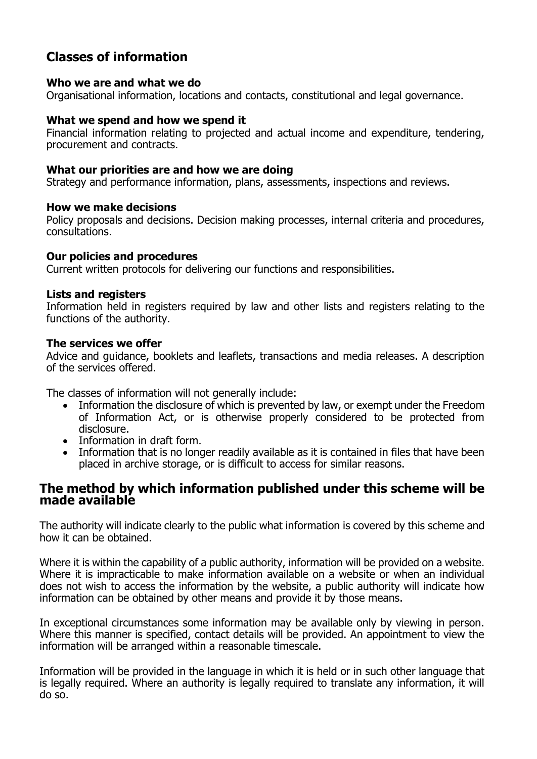# **Classes of information**

#### **Who we are and what we do**

Organisational information, locations and contacts, constitutional and legal governance.

## **What we spend and how we spend it**

Financial information relating to projected and actual income and expenditure, tendering, procurement and contracts.

### **What our priorities are and how we are doing**

Strategy and performance information, plans, assessments, inspections and reviews.

#### **How we make decisions**

Policy proposals and decisions. Decision making processes, internal criteria and procedures, consultations.

#### **Our policies and procedures**

Current written protocols for delivering our functions and responsibilities.

#### **Lists and registers**

Information held in registers required by law and other lists and registers relating to the functions of the authority.

#### **The services we offer**

Advice and guidance, booklets and leaflets, transactions and media releases. A description of the services offered.

The classes of information will not generally include:

- Information the disclosure of which is prevented by law, or exempt under the Freedom of Information Act, or is otherwise properly considered to be protected from disclosure.
- Information in draft form.
- Information that is no longer readily available as it is contained in files that have been placed in archive storage, or is difficult to access for similar reasons.

## **The method by which information published under this scheme will be made available**

The authority will indicate clearly to the public what information is covered by this scheme and how it can be obtained.

Where it is within the capability of a public authority, information will be provided on a website. Where it is impracticable to make information available on a website or when an individual does not wish to access the information by the website, a public authority will indicate how information can be obtained by other means and provide it by those means.

In exceptional circumstances some information may be available only by viewing in person. Where this manner is specified, contact details will be provided. An appointment to view the information will be arranged within a reasonable timescale.

Information will be provided in the language in which it is held or in such other language that is legally required. Where an authority is legally required to translate any information, it will do so.